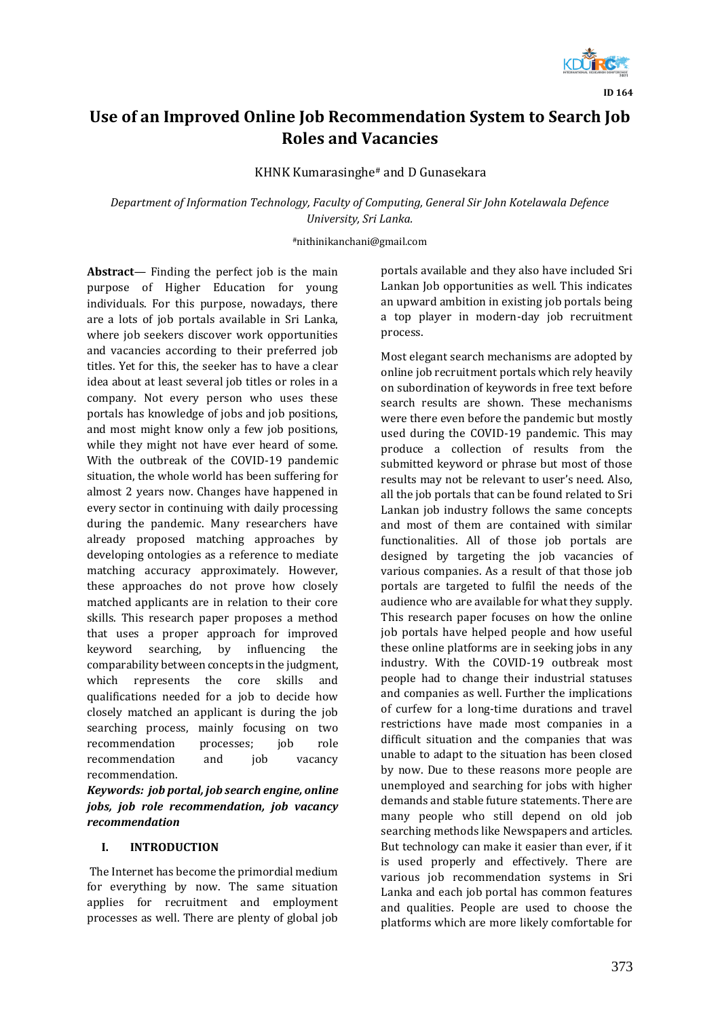

**ID 164**

# **Use of an Improved Online Job Recommendation System to Search Job Roles and Vacancies**

KHNK Kumarasinghe# and D Gunasekara

*Department of Information Technology, Faculty of Computing, General Sir John Kotelawala Defence University, Sri Lanka.*

#nithinikanchani@gmail.com

**Abstract***—* Finding the perfect job is the main purpose of Higher Education for young individuals. For this purpose, nowadays, there are a lots of job portals available in Sri Lanka, where job seekers discover work opportunities and vacancies according to their preferred job titles. Yet for this, the seeker has to have a clear idea about at least several job titles or roles in a company. Not every person who uses these portals has knowledge of jobs and job positions, and most might know only a few job positions, while they might not have ever heard of some. With the outbreak of the COVID-19 pandemic situation, the whole world has been suffering for almost 2 years now. Changes have happened in every sector in continuing with daily processing during the pandemic. Many researchers have already proposed matching approaches by developing ontologies as a reference to mediate matching accuracy approximately. However, these approaches do not prove how closely matched applicants are in relation to their core skills. This research paper proposes a method that uses a proper approach for improved keyword searching, by influencing the comparability between concepts in the judgment, which represents the core skills and qualifications needed for a job to decide how closely matched an applicant is during the job searching process, mainly focusing on two recommendation processes; job role recommendation and job vacancy recommendation.

*Keywords: job portal, job search engine, online jobs, job role recommendation, job vacancy recommendation*

# **I. INTRODUCTION**

The Internet has become the primordial medium for everything by now. The same situation applies for recruitment and employment processes as well. There are plenty of global job portals available and they also have included Sri Lankan Job opportunities as well. This indicates an upward ambition in existing job portals being a top player in modern-day job recruitment process.

Most elegant search mechanisms are adopted by online job recruitment portals which rely heavily on subordination of keywords in free text before search results are shown. These mechanisms were there even before the pandemic but mostly used during the COVID-19 pandemic. This may produce a collection of results from the submitted keyword or phrase but most of those results may not be relevant to user's need. Also, all the job portals that can be found related to Sri Lankan job industry follows the same concepts and most of them are contained with similar functionalities. All of those job portals are designed by targeting the job vacancies of various companies. As a result of that those job portals are targeted to fulfil the needs of the audience who are available for what they supply. This research paper focuses on how the online job portals have helped people and how useful these online platforms are in seeking jobs in any industry. With the COVID-19 outbreak most people had to change their industrial statuses and companies as well. Further the implications of curfew for a long-time durations and travel restrictions have made most companies in a difficult situation and the companies that was unable to adapt to the situation has been closed by now. Due to these reasons more people are unemployed and searching for jobs with higher demands and stable future statements. There are many people who still depend on old job searching methods like Newspapers and articles. But technology can make it easier than ever, if it is used properly and effectively. There are various job recommendation systems in Sri Lanka and each job portal has common features and qualities. People are used to choose the platforms which are more likely comfortable for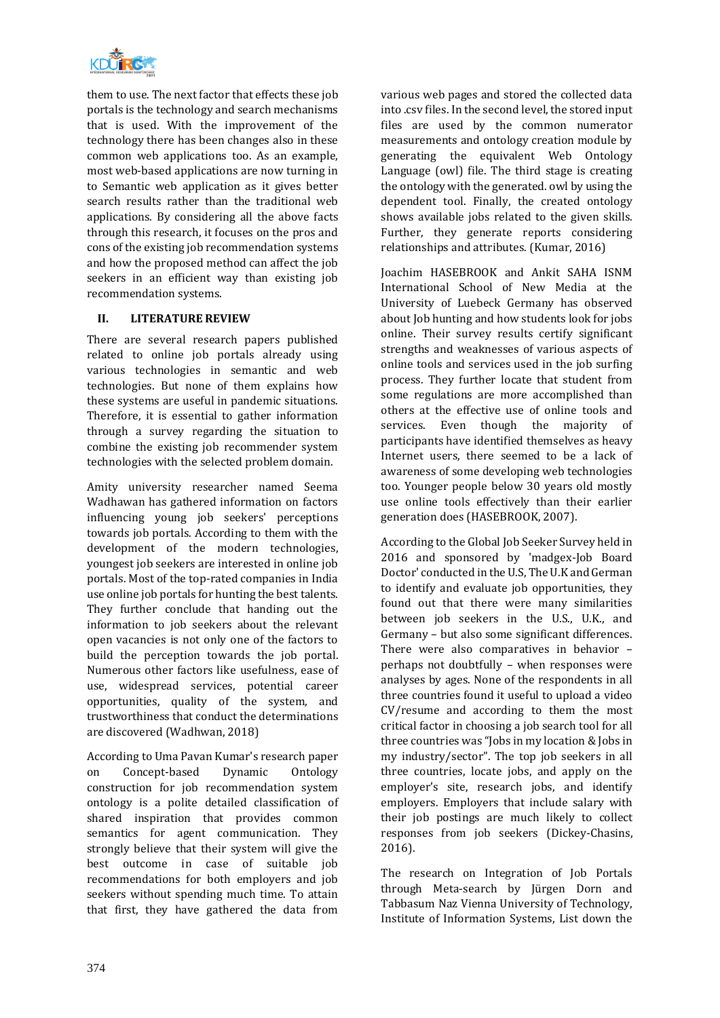

them to use. The next factor that effects these job portals is the technology and search mechanisms that is used. With the improvement of the technology there has been changes also in these common web applications too. As an example, most web-based applications are now turning in to Semantic web application as it gives better search results rather than the traditional web applications. By considering all the above facts through this research, it focuses on the pros and cons of the existing job recommendation systems and how the proposed method can affect the job seekers in an efficient way than existing job recommendation systems.

# **II. LITERATURE REVIEW**

There are several research papers published related to online job portals already using various technologies in semantic and web technologies. But none of them explains how these systems are useful in pandemic situations. Therefore, it is essential to gather information through a survey regarding the situation to combine the existing job recommender system technologies with the selected problem domain.

Amity university researcher named Seema Wadhawan has gathered information on factors influencing young job seekers' perceptions towards job portals. According to them with the development of the modern technologies, youngest job seekers are interested in online job portals. Most of the top-rated companies in India use online job portals for hunting the best talents. They further conclude that handing out the information to job seekers about the relevant open vacancies is not only one of the factors to build the perception towards the job portal. Numerous other factors like usefulness, ease of use, widespread services, potential career opportunities, quality of the system, and trustworthiness that conduct the determinations are discovered (Wadhwan, 2018)

According to Uma Pavan Kumar's research paper on Concept-based Dynamic Ontology construction for job recommendation system ontology is a polite detailed classification of shared inspiration that provides common semantics for agent communication. They strongly believe that their system will give the best outcome in case of suitable job recommendations for both employers and job seekers without spending much time. To attain that first, they have gathered the data from various web pages and stored the collected data into .csv files. In the second level, the stored input files are used by the common numerator measurements and ontology creation module by generating the equivalent Web Ontology Language (owl) file. The third stage is creating the ontology with the generated. owl by using the dependent tool. Finally, the created ontology shows available jobs related to the given skills. Further, they generate reports considering relationships and attributes. (Kumar, 2016)

Joachim HASEBROOK and Ankit SAHA ISNM International School of New Media at the University of Luebeck Germany has observed about Job hunting and how students look for jobs online. Their survey results certify significant strengths and weaknesses of various aspects of online tools and services used in the job surfing process. They further locate that student from some regulations are more accomplished than others at the effective use of online tools and services. Even though the majority of participants have identified themselves as heavy Internet users, there seemed to be a lack of awareness of some developing web technologies too. Younger people below 30 years old mostly use online tools effectively than their earlier generation does (HASEBROOK, 2007).

According to the Global Job Seeker Survey held in 2016 and sponsored by 'madgex-Job Board Doctor' conducted in the U.S, The U.K and German to identify and evaluate job opportunities, they found out that there were many similarities between job seekers in the U.S., U.K., and Germany – but also some significant differences. There were also comparatives in behavior – perhaps not doubtfully – when responses were analyses by ages. None of the respondents in all three countries found it useful to upload a video CV/resume and according to them the most critical factor in choosing a job search tool for all three countries was "Jobs in my location & Jobs in my industry/sector". The top job seekers in all three countries, locate jobs, and apply on the employer's site, research jobs, and identify employers. Employers that include salary with their job postings are much likely to collect responses from job seekers (Dickey-Chasins, 2016).

The research on Integration of Job Portals through Meta-search by Jürgen Dorn and Tabbasum Naz Vienna University of Technology, Institute of Information Systems, List down the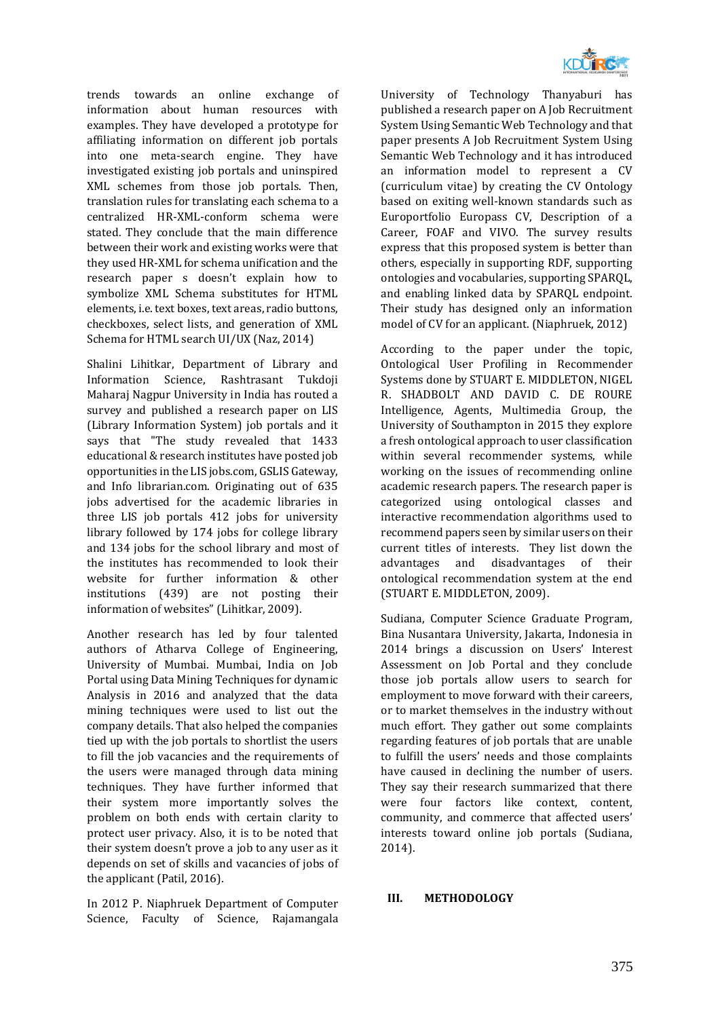

trends towards an online exchange of information about human resources with examples. They have developed a prototype for affiliating information on different job portals into one meta-search engine. They have investigated existing job portals and uninspired XML schemes from those job portals. Then, translation rules for translating each schema to a centralized HR-XML-conform schema were stated. They conclude that the main difference between their work and existing works were that they used HR-XML for schema unification and the research paper s doesn't explain how to symbolize XML Schema substitutes for HTML elements, i.e. text boxes, text areas, radio buttons, checkboxes, select lists, and generation of XML Schema for HTML search UI/UX (Naz, 2014)

Shalini Lihitkar, Department of Library and Information Science, Rashtrasant Tukdoji Maharaj Nagpur University in India has routed a survey and published a research paper on LIS (Library Information System) job portals and it says that "The study revealed that 1433 educational & research institutes have posted job opportunities in the LIS jobs.com, GSLIS Gateway, and Info librarian.com. Originating out of 635 jobs advertised for the academic libraries in three LIS job portals 412 jobs for university library followed by 174 jobs for college library and 134 jobs for the school library and most of the institutes has recommended to look their website for further information & other institutions (439) are not posting their information of websites" (Lihitkar, 2009).

Another research has led by four talented authors of Atharva College of Engineering, University of Mumbai. Mumbai, India on Job Portal using Data Mining Techniques for dynamic Analysis in 2016 and analyzed that the data mining techniques were used to list out the company details. That also helped the companies tied up with the job portals to shortlist the users to fill the job vacancies and the requirements of the users were managed through data mining techniques. They have further informed that their system more importantly solves the problem on both ends with certain clarity to protect user privacy. Also, it is to be noted that their system doesn't prove a job to any user as it depends on set of skills and vacancies of jobs of the applicant (Patil, 2016).

In 2012 P. Niaphruek Department of Computer Science, Faculty of Science, Rajamangala University of Technology Thanyaburi has published a research paper on A Job Recruitment System Using Semantic Web Technology and that paper presents A Job Recruitment System Using Semantic Web Technology and it has introduced an information model to represent a CV (curriculum vitae) by creating the CV Ontology based on exiting well-known standards such as Europortfolio Europass CV, Description of a Career, FOAF and VIVO. The survey results express that this proposed system is better than others, especially in supporting RDF, supporting ontologies and vocabularies, supporting SPARQL, and enabling linked data by SPARQL endpoint. Their study has designed only an information model of CV for an applicant. (Niaphruek, 2012)

According to the paper under the topic, Ontological User Profiling in Recommender Systems done by STUART E. MIDDLETON, NIGEL R. SHADBOLT AND DAVID C. DE ROURE Intelligence, Agents, Multimedia Group, the University of Southampton in 2015 they explore a fresh ontological approach to user classification within several recommender systems, while working on the issues of recommending online academic research papers. The research paper is categorized using ontological classes and interactive recommendation algorithms used to recommend papers seen by similar users on their current titles of interests. They list down the advantages and disadvantages of their ontological recommendation system at the end (STUART E. MIDDLETON, 2009).

Sudiana, Computer Science Graduate Program, Bina Nusantara University, Jakarta, Indonesia in 2014 brings a discussion on Users' Interest Assessment on Job Portal and they conclude those job portals allow users to search for employment to move forward with their careers, or to market themselves in the industry without much effort. They gather out some complaints regarding features of job portals that are unable to fulfill the users' needs and those complaints have caused in declining the number of users. They say their research summarized that there were four factors like context, content, community, and commerce that affected users' interests toward online job portals (Sudiana, 2014).

#### **III. METHODOLOGY**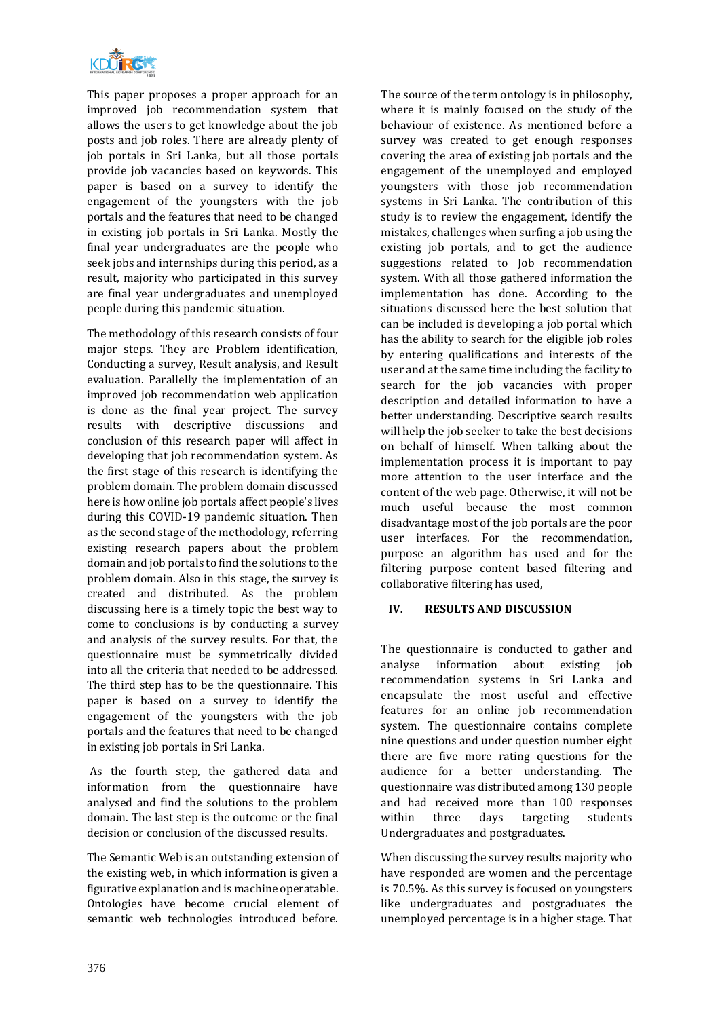

This paper proposes a proper approach for an improved job recommendation system that allows the users to get knowledge about the job posts and job roles. There are already plenty of job portals in Sri Lanka, but all those portals provide job vacancies based on keywords. This paper is based on a survey to identify the engagement of the youngsters with the job portals and the features that need to be changed in existing job portals in Sri Lanka. Mostly the final year undergraduates are the people who seek jobs and internships during this period, as a result, majority who participated in this survey are final year undergraduates and unemployed people during this pandemic situation.

The methodology of this research consists of four major steps. They are Problem identification, Conducting a survey, Result analysis, and Result evaluation. Parallelly the implementation of an improved job recommendation web application is done as the final year project. The survey results with descriptive discussions and conclusion of this research paper will affect in developing that job recommendation system. As the first stage of this research is identifying the problem domain. The problem domain discussed here is how online job portals affect people's lives during this COVID-19 pandemic situation. Then as the second stage of the methodology, referring existing research papers about the problem domain and job portals to find the solutions to the problem domain. Also in this stage, the survey is created and distributed. As the problem discussing here is a timely topic the best way to come to conclusions is by conducting a survey and analysis of the survey results. For that, the questionnaire must be symmetrically divided into all the criteria that needed to be addressed. The third step has to be the questionnaire. This paper is based on a survey to identify the engagement of the youngsters with the job portals and the features that need to be changed in existing job portals in Sri Lanka.

As the fourth step, the gathered data and information from the questionnaire have analysed and find the solutions to the problem domain. The last step is the outcome or the final decision or conclusion of the discussed results.

The Semantic Web is an outstanding extension of the existing web, in which information is given a figurative explanation and is machine operatable. Ontologies have become crucial element of semantic web technologies introduced before.

The source of the term ontology is in philosophy, where it is mainly focused on the study of the behaviour of existence. As mentioned before a survey was created to get enough responses covering the area of existing job portals and the engagement of the unemployed and employed youngsters with those job recommendation systems in Sri Lanka. The contribution of this study is to review the engagement, identify the mistakes, challenges when surfing a job using the existing job portals, and to get the audience suggestions related to Job recommendation system. With all those gathered information the implementation has done. According to the situations discussed here the best solution that can be included is developing a job portal which has the ability to search for the eligible job roles by entering qualifications and interests of the user and at the same time including the facility to search for the job vacancies with proper description and detailed information to have a better understanding. Descriptive search results will help the job seeker to take the best decisions on behalf of himself. When talking about the implementation process it is important to pay more attention to the user interface and the content of the web page. Otherwise, it will not be much useful because the most common disadvantage most of the job portals are the poor user interfaces. For the recommendation, purpose an algorithm has used and for the filtering purpose content based filtering and collaborative filtering has used,

# **IV. RESULTS AND DISCUSSION**

The questionnaire is conducted to gather and analyse information about existing job recommendation systems in Sri Lanka and encapsulate the most useful and effective features for an online job recommendation system. The questionnaire contains complete nine questions and under question number eight there are five more rating questions for the audience for a better understanding. The questionnaire was distributed among 130 people and had received more than 100 responses within three days targeting students Undergraduates and postgraduates.

When discussing the survey results majority who have responded are women and the percentage is 70.5%. As this survey is focused on youngsters like undergraduates and postgraduates the unemployed percentage is in a higher stage. That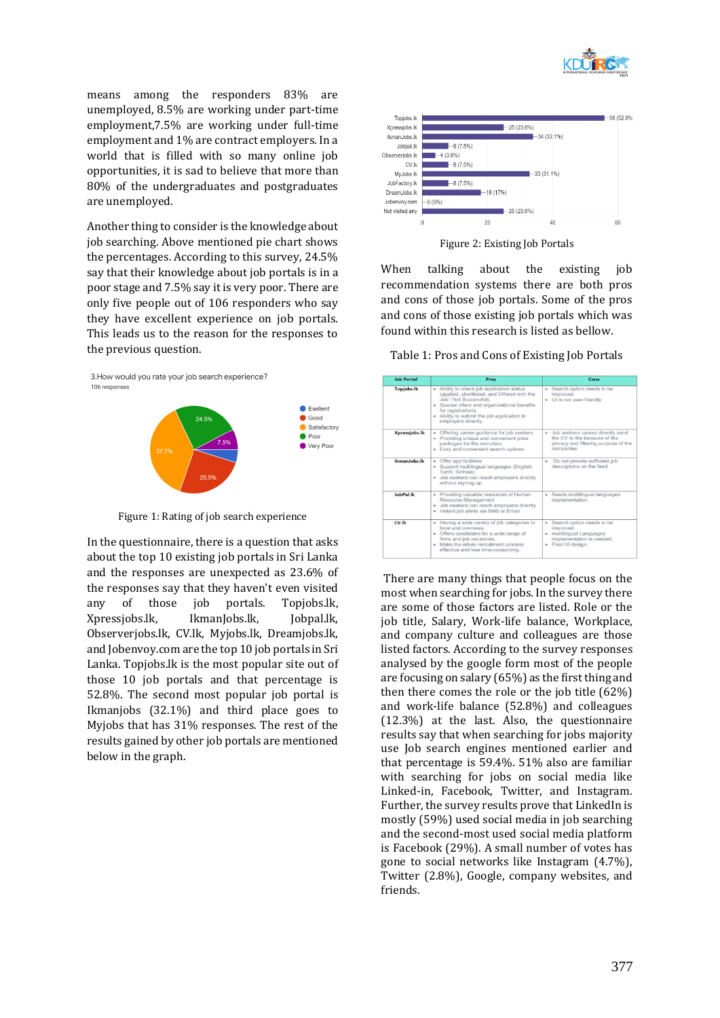

means among the responders 83% are unemployed, 8.5% are working under part-time employment,7.5% are working under full-time employment and 1% are contract employers. In a world that is filled with so many online job opportunities, it is sad to believe that more than 80% of the undergraduates and postgraduates are unemployed.

Another thing to consider is the knowledge about job searching. Above mentioned pie chart shows the percentages. According to this survey, 24.5% say that their knowledge about job portals is in a poor stage and 7.5% say it is very poor. There are only five people out of 106 responders who say they have excellent experience on job portals. This leads us to the reason for the responses to the previous question.



Figure 1: Rating of job search experience

In the questionnaire, there is a question that asks about the top 10 existing job portals in Sri Lanka and the responses are unexpected as 23.6% of the responses say that they haven't even visited any of those job portals. Topjobs.lk, Xpressjobs.lk, IkmanJobs.lk, Jobpal.lk, Observerjobs.lk, CV.lk, Myjobs.lk, Dreamjobs.lk, and Jobenvoy.com are the top 10 job portals in Sri Lanka. Topjobs.lk is the most popular site out of those 10 job portals and that percentage is 52.8%. The second most popular job portal is Ikmanjobs (32.1%) and third place goes to Myjobs that has 31% responses. The rest of the results gained by other job portals are mentioned below in the graph.



Figure 2: Existing Job Portals

When talking about the existing job recommendation systems there are both pros and cons of those job portals. Some of the pros and cons of those existing job portals which was found within this research is listed as bellow.

Table 1: Pros and Cons of Existing Job Portals

| <b>Job Portal</b> | Pros                                                                                                                                                                                                                                                                     | Cons                                                                                                                     |
|-------------------|--------------------------------------------------------------------------------------------------------------------------------------------------------------------------------------------------------------------------------------------------------------------------|--------------------------------------------------------------------------------------------------------------------------|
| <b>Topjobs.lk</b> | Ability to check job application status<br>$\bullet$<br>(applied, shortlisted, and Offered with the<br>Job / Not Successful).<br>· Special offers and organizational benefits<br>for registrations.<br>. Ability to submit the job application to<br>employers directly. | · Search option needs to be<br>improved<br>· UI is not user-friendly.                                                    |
| Xpressjobs.lk     | Offering career guidance for job seekers.<br>٠<br>· Providing unique and convenient price<br>packages for the recruiters.<br>· Easy and convenient search options.                                                                                                       | · Job seekers cannot directly send<br>the CV to the because of the<br>privacy and filtering purpose of the<br>companies. |
| IkmanJobs.lk      | Offer app facilities<br>٠<br>Support multilingual languages (English,<br>Tamil, Sinhala)<br>· Job seekers can reach employers directly<br>without signing up.                                                                                                            | Do not provide sufficient job<br>×<br>descriptions on the feed.                                                          |
| JobPal.lk         | · Providing valuable resources of Human<br>Resource Management<br>· Job seekers can reach employers directly<br>Instant job alerts via SMS or Email                                                                                                                      | Needs multilingual languages<br>٠<br>implementation.                                                                     |
| $CV$ .lk          | Having a wide variety of job categories in<br>local and overseas.<br>· Offers candidates for a wide range of<br>firms and job vacancies.<br>· Make the whole recruitment process<br>effective and less time-consuming.                                                   | Search option needs to be<br>improved.<br>· multilingual Languages<br>implementation is needed.<br>· Poor UI design.     |

There are many things that people focus on the most when searching for jobs. In the survey there are some of those factors are listed. Role or the job title, Salary, Work-life balance, Workplace, and company culture and colleagues are those listed factors. According to the survey responses analysed by the google form most of the people are focusing on salary (65%) as the first thing and then there comes the role or the job title (62%) and work-life balance (52.8%) and colleagues (12.3%) at the last. Also, the questionnaire results say that when searching for jobs majority use Job search engines mentioned earlier and that percentage is 59.4%. 51% also are familiar with searching for jobs on social media like Linked-in, Facebook, Twitter, and Instagram. Further, the survey results prove that LinkedIn is mostly (59%) used social media in job searching and the second-most used social media platform is Facebook (29%). A small number of votes has gone to social networks like Instagram (4.7%), Twitter (2.8%), Google, company websites, and friends.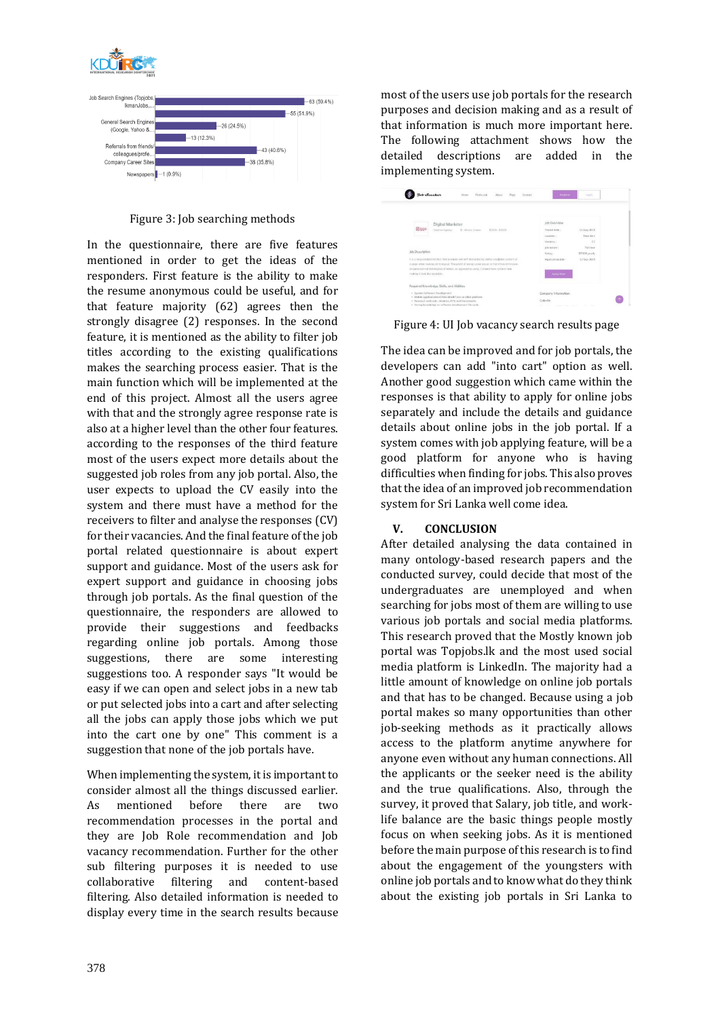



Figure 3: Job searching methods

In the questionnaire, there are five features mentioned in order to get the ideas of the responders. First feature is the ability to make the resume anonymous could be useful, and for that feature majority (62) agrees then the strongly disagree (2) responses. In the second feature, it is mentioned as the ability to filter job titles according to the existing qualifications makes the searching process easier. That is the main function which will be implemented at the end of this project. Almost all the users agree with that and the strongly agree response rate is also at a higher level than the other four features. according to the responses of the third feature most of the users expect more details about the suggested job roles from any job portal. Also, the user expects to upload the CV easily into the system and there must have a method for the receivers to filter and analyse the responses (CV) for their vacancies. And the final feature of the job portal related questionnaire is about expert support and guidance. Most of the users ask for expert support and guidance in choosing jobs through job portals. As the final question of the questionnaire, the responders are allowed to provide their suggestions and feedbacks regarding online job portals. Among those suggestions, there are some interesting suggestions too. A responder says "It would be easy if we can open and select jobs in a new tab or put selected jobs into a cart and after selecting all the jobs can apply those jobs which we put into the cart one by one" This comment is a suggestion that none of the job portals have.

When implementing the system, it is important to consider almost all the things discussed earlier. As mentioned before there are two recommendation processes in the portal and they are Job Role recommendation and Job vacancy recommendation. Further for the other sub filtering purposes it is needed to use collaborative filtering and content-based filtering. Also detailed information is needed to display every time in the search results because most of the users use job portals for the research purposes and decision making and as a result of that information is much more important here. The following attachment shows how the detailed descriptions are added in the implementing system.



Figure 4: UI Job vacancy search results page

The idea can be improved and for job portals, the developers can add "into cart" option as well. Another good suggestion which came within the responses is that ability to apply for online jobs separately and include the details and guidance details about online jobs in the job portal. If a system comes with job applying feature, will be a good platform for anyone who is having difficulties when finding for jobs. This also proves that the idea of an improved job recommendation system for Sri Lanka well come idea.

# **V. CONCLUSION**

After detailed analysing the data contained in many ontology-based research papers and the conducted survey, could decide that most of the undergraduates are unemployed and when searching for jobs most of them are willing to use various job portals and social media platforms. This research proved that the Mostly known job portal was Topjobs.lk and the most used social media platform is LinkedIn. The majority had a little amount of knowledge on online job portals and that has to be changed. Because using a job portal makes so many opportunities than other job-seeking methods as it practically allows access to the platform anytime anywhere for anyone even without any human connections. All the applicants or the seeker need is the ability and the true qualifications. Also, through the survey, it proved that Salary, job title, and worklife balance are the basic things people mostly focus on when seeking jobs. As it is mentioned before the main purpose of this research is to find about the engagement of the youngsters with online job portals and to know what do they think about the existing job portals in Sri Lanka to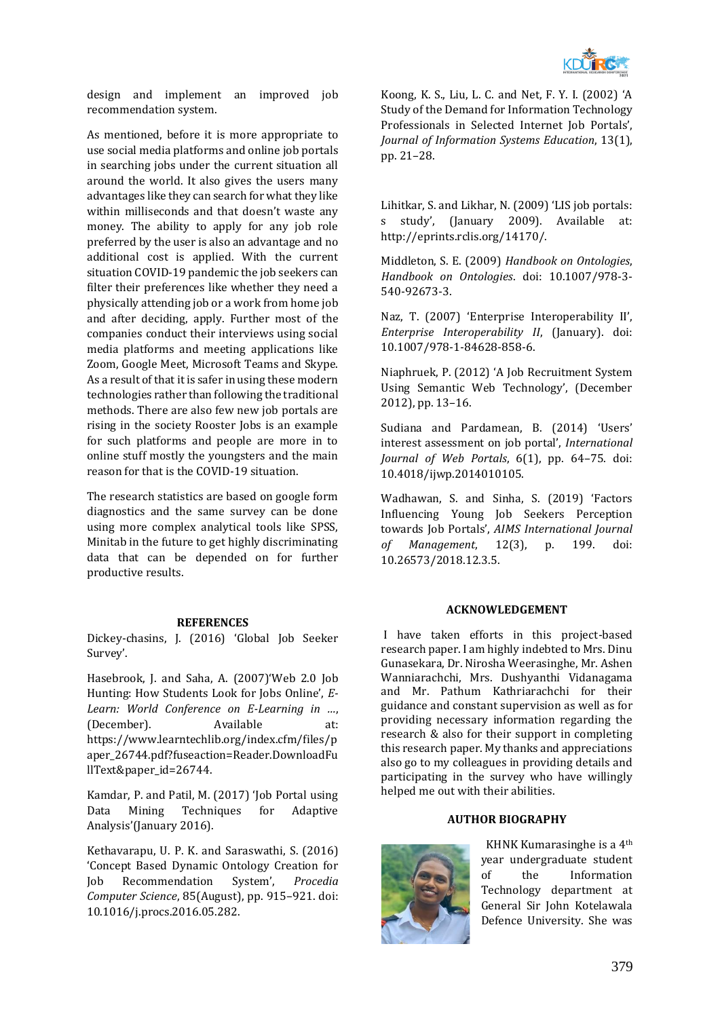

design and implement an improved job recommendation system.

As mentioned, before it is more appropriate to use social media platforms and online job portals in searching jobs under the current situation all around the world. It also gives the users many advantages like they can search for what they like within milliseconds and that doesn't waste any money. The ability to apply for any job role preferred by the user is also an advantage and no additional cost is applied. With the current situation COVID-19 pandemic the job seekers can filter their preferences like whether they need a physically attending job or a work from home job and after deciding, apply. Further most of the companies conduct their interviews using social media platforms and meeting applications like Zoom, Google Meet, Microsoft Teams and Skype. As a result of that it is safer in using these modern technologies rather than following the traditional methods. There are also few new job portals are rising in the society Rooster Jobs is an example for such platforms and people are more in to online stuff mostly the youngsters and the main reason for that is the COVID-19 situation.

The research statistics are based on google form diagnostics and the same survey can be done using more complex analytical tools like SPSS, Minitab in the future to get highly discriminating data that can be depended on for further productive results.

#### **REFERENCES**

Dickey-chasins, J. (2016) 'Global Job Seeker Survey'.

Hasebrook, J. and Saha, A. (2007)'Web 2.0 Job Hunting: How Students Look for Jobs Online', *E-Learn: World Conference on E-Learning in …*, (December). Available at: https://www.learntechlib.org/index.cfm/files/p aper\_26744.pdf?fuseaction=Reader.DownloadFu llText&paper\_id=26744.

Kamdar, P. and Patil, M. (2017) 'Job Portal using Data Mining Techniques for Adaptive Analysis'(January 2016).

Kethavarapu, U. P. K. and Saraswathi, S. (2016) 'Concept Based Dynamic Ontology Creation for Job Recommendation System', *Procedia Computer Science*, 85(August), pp. 915–921. doi: 10.1016/j.procs.2016.05.282.

Koong, K. S., Liu, L. C. and Net, F. Y. I. (2002) 'A Study of the Demand for Information Technology Professionals in Selected Internet Job Portals', *Journal of Information Systems Education*, 13(1), pp. 21–28.

Lihitkar, S. and Likhar, N. (2009) 'LIS job portals: s study', (January 2009). Available at: http://eprints.rclis.org/14170/.

Middleton, S. E. (2009) *Handbook on Ontologies*, *Handbook on Ontologies*. doi: 10.1007/978-3- 540-92673-3.

Naz, T. (2007) 'Enterprise Interoperability II', *Enterprise Interoperability II*, (January). doi: 10.1007/978-1-84628-858-6.

Niaphruek, P. (2012) 'A Job Recruitment System Using Semantic Web Technology', (December 2012), pp. 13–16.

Sudiana and Pardamean, B. (2014) 'Users' interest assessment on job portal', *International Journal of Web Portals*, 6(1), pp. 64–75. doi: 10.4018/ijwp.2014010105.

Wadhawan, S. and Sinha, S. (2019) 'Factors Influencing Young Job Seekers Perception towards Job Portals', *AIMS International Journal of Management*, 12(3), p. 199. doi: 10.26573/2018.12.3.5.

#### **ACKNOWLEDGEMENT**

I have taken efforts in this project-based research paper. I am highly indebted to Mrs. Dinu Gunasekara, Dr. Nirosha Weerasinghe, Mr. Ashen Wanniarachchi, Mrs. Dushyanthi Vidanagama and Mr. Pathum Kathriarachchi for their guidance and constant supervision as well as for providing necessary information regarding the research & also for their support in completing this research paper. My thanks and appreciations also go to my colleagues in providing details and participating in the survey who have willingly helped me out with their abilities.

#### **AUTHOR BIOGRAPHY**



 KHNK Kumarasinghe is a 4th year undergraduate student of the Information Technology department at General Sir John Kotelawala Defence University. She was